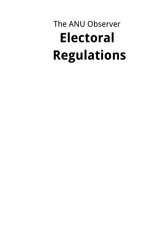# The ANU Observer **Electoral Regulations**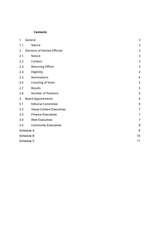#### **Contents**

| 1.         | General                               | 3              |
|------------|---------------------------------------|----------------|
| 1.1.       | Nature                                | 3              |
| 2.         | <b>Elections of Elected Officials</b> | 3              |
| 2.1.       | Nature                                | 3              |
| 2.2.       | Conduct                               | 3              |
| 2.3.       | <b>Returning Officer</b>              | 3              |
| 2.4.       | Eligibility                           | 4              |
| 2.5.       | Nominations                           | $\overline{4}$ |
| 2.6        | <b>Counting of Votes</b>              | 5              |
| 2.7        | Results                               | 5              |
| 2.8        | <b>Number of Positions</b>            | 6              |
| 3.         | <b>Board Appointments</b>             | 6              |
| 3.1        | <b>Editorial Committee</b>            | 6              |
| 3.2        | <b>Visual Content Executives</b>      | $\overline{7}$ |
| 3.3        | <b>Finance Executives</b>             | $\overline{7}$ |
| 3.4        | <b>Web Executives</b>                 | $\overline{7}$ |
| 3.5        | <b>Community Executives</b>           | 8              |
| Schedule A |                                       | 9              |
| Schedule B |                                       | 10             |
| Schedule C |                                       | 11             |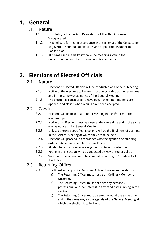# <span id="page-2-0"></span>**1. General**

#### <span id="page-2-1"></span>1.1. Nature

- 1.1.1. This Policy is the Election Regulations of The ANU Observer Incorporated.
- 1.1.2. This Policy is formed in accordance with section 3 of the Constitution to govern the conduct of elections and appointments under the Constitution.
- 1.1.3. All terms used in this Policy have the meaning given in the Constitution, unless the contrary intention appears.

# <span id="page-2-2"></span>**2. Elections of Elected Officials**

## <span id="page-2-3"></span>2.1. Nature

- 2.1.1. Elections of Elected Officials will be conducted at a General Meeting.
- 2.1.2. Notice of the elections to be held must be provided at the same time and in the same way as notice of the General Meeting.
- 2.1.3. The Election is considered to have begun when nominations are opened, and closed when results have been accepted.

### <span id="page-2-4"></span>2.2. Conduct

- 2.2.1. Elections will be held at a General Meeting in the  $4<sup>th</sup>$  term of the academic year.
- 2.2.2. Notice of an Election must be given at the same time and in the same way as notice of the General Meeting.
- 2.2.3. Unless otherwise specified, Elections will be the final item of business in the General Meeting at which they are to be held.
- 2.2.4. Elections will proceed in accordance with the agenda and standing orders detailed in Schedule B of this Policy.
- 2.2.5. All Members of Observer are eligible to vote in this election.
- 2.2.6. Voting in this Election will be conducted by way of secret ballot.
- 2.2.7. Votes in this election are to be counted according to Schedule A of this Policy.

## <span id="page-2-5"></span>2.3. Returning Officer

- 2.3.1. The Board will appoint a Returning Officer to oversee the election.
	- a) The Returning Officer must not be an Ordinary Member of Observer.
	- b) The Returning Officer must not have any personal, professional or other interest in any candidate running in the election.
	- c) The Returning Officer must be announced at the same time and in the same way as the agenda of the General Meeting at which the election is to be held.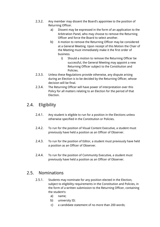- 2.3.2. Any member may dissent the Board's appointee to the position of Returning Officer.
	- a) Dissent may be expressed in the form of an application to the Arbitration Panel, who may choose to remove the Returning Officer and force the Board to select another.
	- b) A motion to remove the Returning Officer may be considered at a General Meeting. Upon receipt of this Motion the Chair of the Meeting must immediately make it the first order of business.
		- i) Should a motion to remove the Returning Officer be successful, the General Meeting may appoint a new Returning Officer subject to the Constitution and Policies.
- 2.3.3. Unless these Regulations provide otherwise, any dispute arising during an Election is to be decided by the Returning Officer, whose decision will be final.
- 2.3.4. The Returning Officer will have power of interpretation over this Policy for all matters relating to an Election for the period of that Election.

## <span id="page-3-0"></span>2.4. Eligibility

- 2.4.1. Any student is eligible to run for a position in the Elections unless otherwise specified in the Constitution or Policies.
- 2.4.2. To run for the position of Visual Content Executive, a student must previously have held a position as an Officer of Observer.
- 2.4.3. To run for the position of Editor, a student must previously have held a position as an Officer of Observer.
- 2.4.4. To run for the position of Community Executive, a student must previously have held a position as an Officer of Observer.

### 2.5. Nominations

- 2.5.1. Students may nominate for any position elected in the Election, subject to eligibility requirements in the Constitution and Policies, in the form of a written submission to the Returning Officer, containing the student's:
	- a) name;
	- b) university ID;
	- c) a candidate statement of no more than 200 words;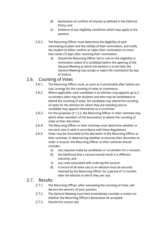- d) declaration of conflicts of interest as defined in the Editorial Policy; and
- e) evidence of any eligibility conditions which may apply to the position.
- 2.5.2. The Returning Officer must determine the eligibility of each nominating student and the validity of their nomination, and notify the student to either confirm or reject their nomination no more than seven (7) days after receiving their nomination.
	- a) Should the Returning Officer fail to rule on the eligibility or nomination status of a candidate before the opening of the General Meeting at which the election is to be held, the General Meeting may accept or reject the nomination by way of motion.

## 2.6. Counting of Votes

- 2.6.1. The Returning Officer must, as soon as is practicable after ballots are cast, arrange for the counting of votes to commence.
- 2.6.2. Where applicable, each candidate in an election may appoint up to 2 scrutineers (who may be students and who may be candidates) to attend the counting of votes. No candidate may attend the counting of votes for the election for which they are standing and no candidate may appoint themselves as a scrutineer.
- 2.6.3. For the purposes of 1.3.2, the Returning Officer or their nominee may admit other members of the Association to attend the counting of votes at their discretion.
- 2.6.4. The Returning Officer or their nominee must determine whether or not each vote is valid in accordance with these Regulations.
- 2.6.5. Votes may be recounted at the discretion of the Returning Officer or their nominee. In determining whether to exercise their discretion to order a recount, the Returning Officer or their nominee should consider:
	- a) any requests made by candidates or scrutineers for a recount;
	- b) the likelihood that a recount would result in a different outcome; and
	- c) any costs associated with ordering the recount.
	- d) A record of all votes cast in an election must be securely retained by the Returning Officer for a period of 12 months after the election in which they are cast.

## 2.7. Results

- 2.7.1. The Returning Officer, after overseeing the counting of votes, will declare the winners of each position.
- 2.7.2. The General Meeting must then immediately consider a motion on whether the Returning Officer's declaration be accepted.
- 2.7.3. Should this motion fail: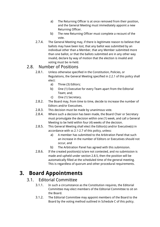- a) The Returning Officer is at once removed from their position, and the General Meeting must immediately appoint a new Returning Officer.
- b) The new Returning Officer must complete a recount of the vote.
- 2.7.4. The General Meeting may, if there is legitimate reason to believe that ballots may have been lost, that any ballot was submitted by an individual other than a Member, that any Member submitted more than one ballot, or that the ballots submitted are in any other way invalid, declare by way of motion that the election is invalid and voting must be re-held.

## 2.8. Number of Positions

- 2.8.1. Unless otherwise specified in the Constitution, Policies, or Regulations, the General Meeting specified in 2.2.1 of this policy shall elect:
	- a) Three (3) Editors;
	- b) One (1) Executive for every Team apart from the Editorial Team; and;
	- c) One (1) Secretary.
- 2.8.2. The Board may, from time to time, decide to increase the number of Editors and/or Executives.
- 2.8.3. This decision must be made by unanimous vote.
- 2.8.4. Where such a decision has been made, the Board Chair or Secretary must promulgate the decision within one (1) week, and call a General Meeting to be held within four (4) weeks of the decision.
- 2.8.5. This General Meeting shall elect the Editor(s) and/or Executive(s) in accordance with ss 2.1-2.7 of this policy, unless:
	- a) A member has submitted to the Arbitration Panel that such an increase in the number of Editors or Executives should not occur, and
	- b) The Arbitration Panel has agreed with this submission.
- 2.8.6. If the created position(s) is/are not contested, and no submission is made and upheld under section 2.8.5, then the position will be automatically filled at the scheduled time of the general meeting. This is regardless of quorum and other procedural requirements.

# **3. Board Appointments**

## 3.1. Editorial Committee

- 3.1.1. In such a circumstance as the Constitution requires, the Editorial Committee may elect members of the Editorial Committee to sit on the Board.
- 3.1.2. The Editorial Committee may appoint members of the Board to the Board by the voting method outlined in Schedule C of this policy.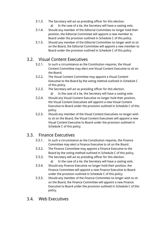- 3.1.3. The Secretary will act as presiding officer for this election.
	- a) In the case of a tie, the Secretary will have a casting vote.
- 3.1.4. Should any member of the Editorial Committee no longer hold their position, the Editorial Committee will appoint a new member to Board under the provision outlined in Schedule C of this policy.
- 3.1.5. Should any member of the Editorial Committee no longer wish to sit on the Board, the Editorial Committee will appoint a new member to Board under the provision outlined in Schedule C of this policy.

## 3.2. Visual Content Executives

- 3.2.1. In such a circumstance as the Constitution requires, the Visual Content Committee may elect one Visual Content Executive to sit on the Board.
- 3.2.2. The Visual Content Committee may appoint a Visual Content Executive to the Board by the voting method outlined in Schedule C of this policy.
- 3.2.3. The Secretary will act as presiding officer for this election.
	- a) In the case of a tie, the Secretary will have a casting vote.
- 3.2.4. Should any Visual Content Executive no longer hold their position, the Visual Content Executives will appoint a new Visual Content Executive to Board under the provision outlined in Schedule C of this policy.
- 3.2.5. Should any member of the Visual Content Executives no longer wish to sit on the Board, the Visual Content Executives will appoint a new Visual Content Executive to Board under the provision outlined in Schedule C of this policy.

## 3.3. Finance Executives

- 3.3.1. In such a circumstance as the Constitution requires, the Finance Committee may elect a Finance Executive to sit on the Board.
- 3.3.2. The Finance Committee may appoint a Finance Executive to the Board by the voting method outlined in Schedule C of this policy.
- 3.3.3. The Secretary will act as presiding officer for this election.
	- a) In the case of a tie, the Secretary will have a casting vote.
- 3.3.4. Should any Finance Executive no longer hold their position, the Finance Committee will appoint a new Finance Executive to Board under the provision outlined in Schedule C of this policy.
- 3.3.5. Should any member of the Finance Committee no longer wish to sit on the Board, the Finance Committee will appoint a new Finance Executive to Board under the provision outlined in Schedule C of this policy.

## 3.4. Web Executives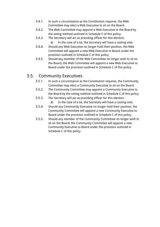- 3.4.1. In such a circumstance as the Constitution requires, the Web Committee may elect a Web Executive to sit on the Board.
- 3.4.2. The Web Committee may appoint a Web Executive to the Board by the voting method outlined in Schedule C of this policy.
- 3.4.3. The Secretary will act as presiding officer for this election.
	- a) In the case of a tie, the Secretary will have a casting vote.
- 3.4.4. Should any Web Executive no longer hold their position, the Web Committee will appoint a new Web Executive to Board under the provision outlined in Schedule C of this policy.
- 3.4.5. Should any member of the Web Committee no longer wish to sit on the Board, the Web Committee will appoint a new Web Executive to Board under the provision outlined in Schedule C of this policy.

## 3.5. Community Executives

- 3.5.1. In such a circumstance as the Constitution requires, the Community Committee may elect a Community Executive to sit on the Board.
- 3.5.2. The Community Committee may appoint a Community Executive to the Board by the voting method outlined in Schedule C of this policy.
- 3.5.3. The Secretary will act as presiding officer for this election.
	- a) In the case of a tie, the Secretary will have a casting vote.
- 3.5.4. Should any Community Executive no longer hold their position, the Community Committee will appoint a new Community Executive to Board under the provision outlined in Schedule C of this policy.
- 3.5.5. Should any member of the Community Committee no longer wish to sit on the Board, the Community Committee will appoint a new Community Executive to Board under the provision outlined in Schedule C of this policy.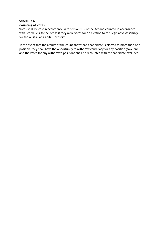#### **Schedule A Counting of Votes**

Votes shall be cast in accordance with section 132 of the Act and counted in accordance with Schedule 4 to the Act as if they were votes for an election to the Legislative Assembly for the Australian Capital Territory.

In the event that the results of the count show that a candidate is elected to more than one position, they shall have the opportunity to withdraw candidacy for any position (save one) and the votes for any withdrawn positions shall be recounted with the candidate excluded.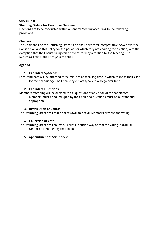#### **Schedule B**

#### **Standing Orders for Executive Elections**

Elections are to be conducted within a General Meeting according to the following provisions.

#### **Chairing**

The Chair shall be the Returning Officer, and shall have total interpretative power over the Constitution and this Policy for the period for which they are chairing the election, with the exception that the Chair's ruling can be overturned by a motion by the Meeting. The Returning Officer shall not pass the chair.

#### **Agenda**

#### **1. Candidate Speeches**

Each candidate will be afforded three minutes of speaking time in which to make their case for their candidacy. The Chair may cut off speakers who go over time.

#### **2. Candidate Questions**

Members attending will be allowed to ask questions of any or all of the candidates. Members must be called upon by the Chair and questions must be relevant and appropriate.

#### **3. Distribution of Ballots**

The Returning Officer will make ballots available to all Members present and voting.

#### **4. Collection of Vote**

The Returning Officer will collect all ballots in such a way as that the voting individual cannot be identified by their ballot.

#### **5. Appointment of Scrutineers**